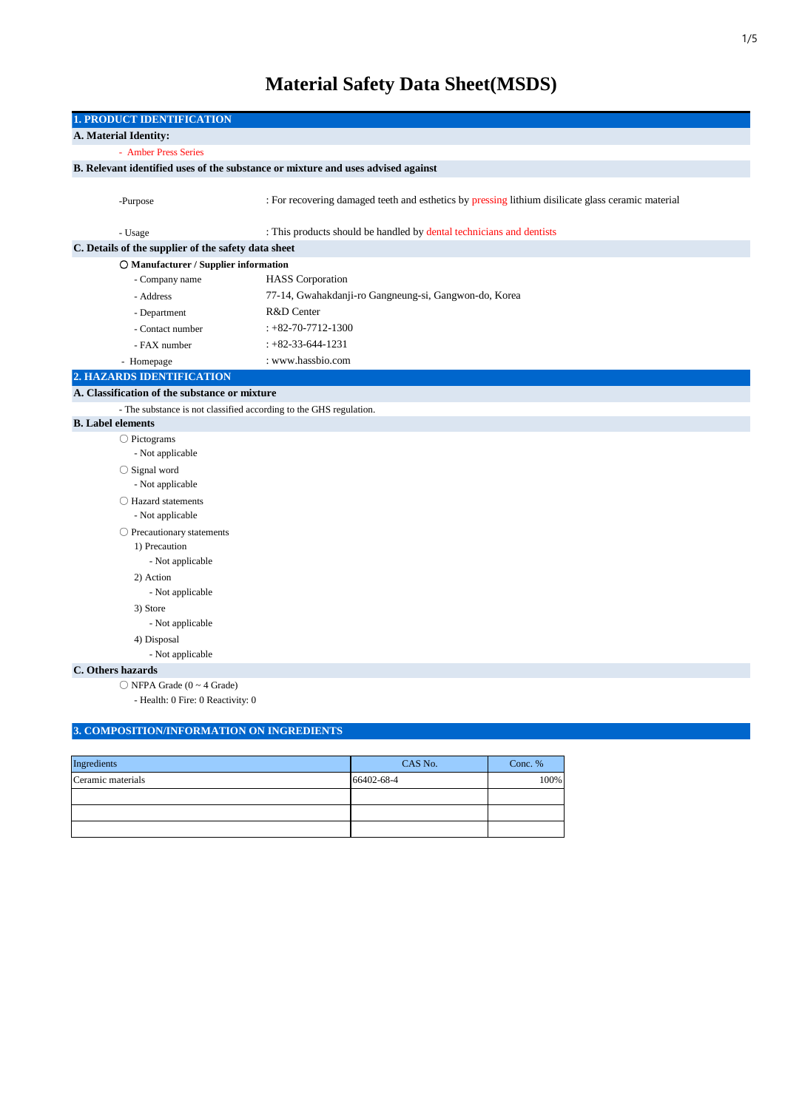# **Material Safety Data Sheet(MSDS)**

| <b>1. PRODUCT IDENTIFICATION</b>                                                 |                                                                                                    |  |  |  |  |
|----------------------------------------------------------------------------------|----------------------------------------------------------------------------------------------------|--|--|--|--|
| A. Material Identity:                                                            |                                                                                                    |  |  |  |  |
| - Amber Press Series                                                             |                                                                                                    |  |  |  |  |
| B. Relevant identified uses of the substance or mixture and uses advised against |                                                                                                    |  |  |  |  |
|                                                                                  |                                                                                                    |  |  |  |  |
| -Purpose                                                                         | : For recovering damaged teeth and esthetics by pressing lithium disilicate glass ceramic material |  |  |  |  |
|                                                                                  |                                                                                                    |  |  |  |  |
| - Usage                                                                          | : This products should be handled by dental technicians and dentists                               |  |  |  |  |
| C. Details of the supplier of the safety data sheet                              |                                                                                                    |  |  |  |  |
| O Manufacturer / Supplier information                                            |                                                                                                    |  |  |  |  |
| - Company name                                                                   | <b>HASS</b> Corporation                                                                            |  |  |  |  |
| - Address                                                                        | 77-14, Gwahakdanji-ro Gangneung-si, Gangwon-do, Korea                                              |  |  |  |  |
| - Department                                                                     | R&D Center                                                                                         |  |  |  |  |
| - Contact number                                                                 | $: +82 - 70 - 7712 - 1300$                                                                         |  |  |  |  |
| - FAX number                                                                     | $: +82-33-644-1231$                                                                                |  |  |  |  |
| - Homepage                                                                       | : www.hassbio.com                                                                                  |  |  |  |  |
| 2. HAZARDS IDENTIFICATION                                                        |                                                                                                    |  |  |  |  |
| A. Classification of the substance or mixture                                    |                                                                                                    |  |  |  |  |
| - The substance is not classified according to the GHS regulation.               |                                                                                                    |  |  |  |  |
| <b>B.</b> Label elements                                                         |                                                                                                    |  |  |  |  |
| $\bigcirc$ Pictograms                                                            |                                                                                                    |  |  |  |  |
| - Not applicable                                                                 |                                                                                                    |  |  |  |  |
| $\bigcirc$ Signal word                                                           |                                                                                                    |  |  |  |  |
| - Not applicable                                                                 |                                                                                                    |  |  |  |  |
|                                                                                  | ◯ Hazard statements                                                                                |  |  |  |  |
| - Not applicable                                                                 |                                                                                                    |  |  |  |  |
| $\bigcirc$ Precautionary statements                                              |                                                                                                    |  |  |  |  |
| 1) Precaution                                                                    |                                                                                                    |  |  |  |  |
| - Not applicable                                                                 |                                                                                                    |  |  |  |  |
| 2) Action                                                                        |                                                                                                    |  |  |  |  |
| - Not applicable                                                                 |                                                                                                    |  |  |  |  |
| 3) Store                                                                         |                                                                                                    |  |  |  |  |
| - Not applicable                                                                 |                                                                                                    |  |  |  |  |
| 4) Disposal<br>- Not applicable                                                  |                                                                                                    |  |  |  |  |
| C. Others hazards                                                                |                                                                                                    |  |  |  |  |
| $\bigcirc$ NFPA Grade (0 ~ 4 Grade)                                              |                                                                                                    |  |  |  |  |
| - Health: 0 Fire: 0 Reactivity: 0                                                |                                                                                                    |  |  |  |  |
|                                                                                  |                                                                                                    |  |  |  |  |

# **3. COMPOSITION/INFORMATION ON INGREDIENTS**

| Ingredients       | CAS No.    | Conc. % |
|-------------------|------------|---------|
| Ceramic materials | 66402-68-4 | 100%    |
|                   |            |         |
|                   |            |         |
|                   |            |         |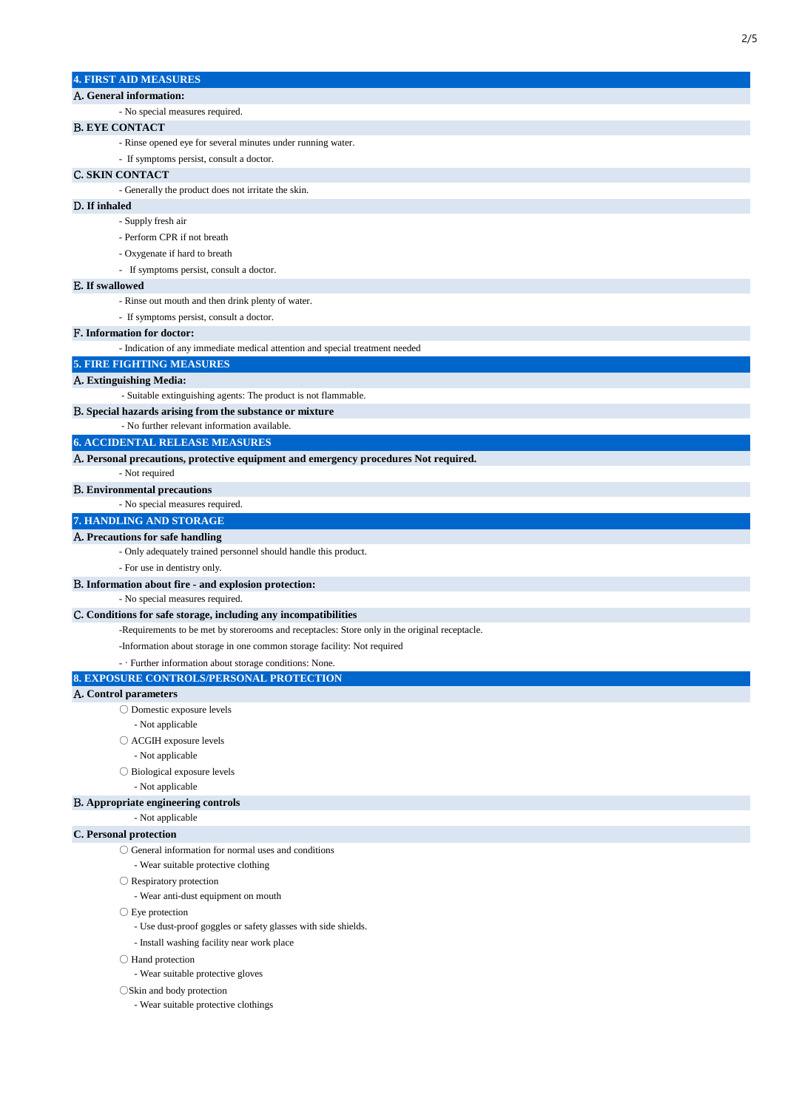| <b>4. FIRST AID MEASURES</b>                                                                               |
|------------------------------------------------------------------------------------------------------------|
| A. General information:                                                                                    |
| - No special measures required.                                                                            |
| <b>B. EYE CONTACT</b>                                                                                      |
| - Rinse opened eye for several minutes under running water.                                                |
| - If symptoms persist, consult a doctor.                                                                   |
| <b>C. SKIN CONTACT</b>                                                                                     |
| - Generally the product does not irritate the skin.                                                        |
| D. If inhaled                                                                                              |
| - Supply fresh air                                                                                         |
| - Perform CPR if not breath                                                                                |
| - Oxygenate if hard to breath                                                                              |
| - If symptoms persist, consult a doctor.                                                                   |
| E. If swallowed                                                                                            |
| - Rinse out mouth and then drink plenty of water.                                                          |
| - If symptoms persist, consult a doctor.                                                                   |
|                                                                                                            |
| F. Information for doctor:<br>- Indication of any immediate medical attention and special treatment needed |
| <b>5. FIRE FIGHTING MEASURES</b>                                                                           |
|                                                                                                            |
| A. Extinguishing Media:<br>- Suitable extinguishing agents: The product is not flammable.                  |
| B. Special hazards arising from the substance or mixture                                                   |
| - No further relevant information available.                                                               |
| <b>6. ACCIDENTAL RELEASE MEASURES</b>                                                                      |
| A. Personal precautions, protective equipment and emergency procedures Not required.                       |
| - Not required                                                                                             |
| <b>B.</b> Environmental precautions                                                                        |
| - No special measures required.                                                                            |
| 7. HANDLING AND STORAGE                                                                                    |
| A. Precautions for safe handling                                                                           |
| - Only adequately trained personnel should handle this product.                                            |
| - For use in dentistry only.                                                                               |
| B. Information about fire - and explosion protection:                                                      |
| - No special measures required.                                                                            |
| C. Conditions for safe storage, including any incompatibilities                                            |
| -Requirements to be met by storerooms and receptacles: Store only in the original receptacle.              |
| -Information about storage in one common storage facility: Not required                                    |
| - · Further information about storage conditions: None.                                                    |
| 8. EXPOSURE CONTROLS/PERSONAL PROTECTION                                                                   |
| A. Control parameters                                                                                      |
| ○ Domestic exposure levels                                                                                 |
| - Not applicable                                                                                           |
| ○ ACGIH exposure levels                                                                                    |
| - Not applicable                                                                                           |
| $\bigcirc$ Biological exposure levels                                                                      |
| - Not applicable                                                                                           |
| B. Appropriate engineering controls                                                                        |
| - Not applicable                                                                                           |
| C. Personal protection                                                                                     |
| $\bigcirc$ General information for normal uses and conditions                                              |
| - Wear suitable protective clothing                                                                        |
| $\bigcirc$ Respiratory protection                                                                          |
| - Wear anti-dust equipment on mouth                                                                        |
| $\bigcirc$ Eye protection                                                                                  |
| - Use dust-proof goggles or safety glasses with side shields.                                              |
| - Install washing facility near work place                                                                 |
|                                                                                                            |
| $\bigcirc$ Hand protection<br>- Wear suitable protective gloves                                            |
|                                                                                                            |
| $\bigcirc$ Skin and body protection<br>- Wear suitable protective clothings                                |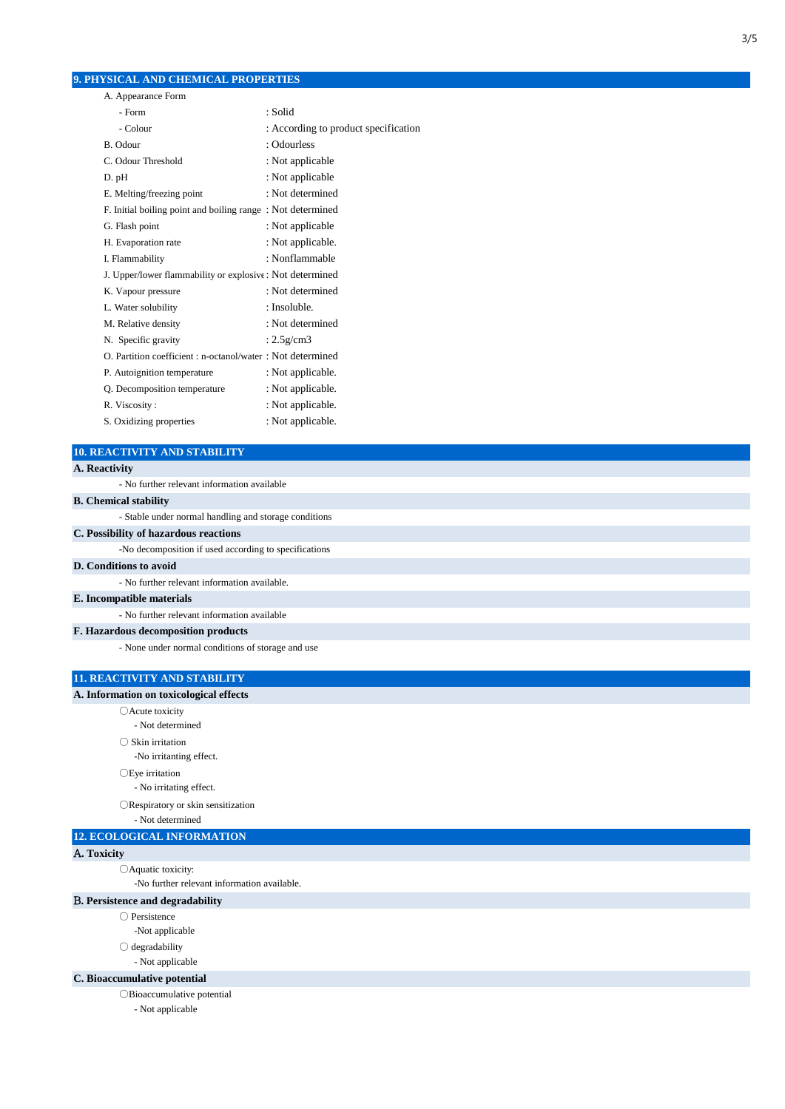# **9. PHYSICAL AND CHEMICAL PROPERTIES**

| A. Appearance Form                                          |                                      |
|-------------------------------------------------------------|--------------------------------------|
| - Form                                                      | : Solid                              |
| - Colour                                                    | : According to product specification |
| B. Odour                                                    | : Odourless                          |
| C. Odour Threshold                                          | : Not applicable                     |
| D. pH                                                       | : Not applicable                     |
| E. Melting/freezing point                                   | : Not determined                     |
| F. Initial boiling point and boiling range: Not determined  |                                      |
| G. Flash point                                              | : Not applicable                     |
| H. Evaporation rate                                         | : Not applicable.                    |
| I. Flammability                                             | : Nonflammable                       |
| J. Upper/lower flammability or explosive : Not determined   |                                      |
| K. Vapour pressure                                          | : Not determined                     |
| L. Water solubility                                         | : Insoluble.                         |
| M. Relative density                                         | : Not determined                     |
| N. Specific gravity                                         | : $2.5$ g/cm $3$                     |
| O. Partition coefficient : n-octanol/water : Not determined |                                      |
| P. Autoignition temperature                                 | : Not applicable.                    |
| Q. Decomposition temperature                                | : Not applicable.                    |
| R. Viscosity:                                               | : Not applicable.                    |
| S. Oxidizing properties                                     | : Not applicable.                    |

# **10. REACTIVITY AND STABILITY**

# - Stable under normal handling and storage conditions **B. Chemical stability A. Reactivity** - No further relevant information available

#### **C. Possibility of hazardous reactions**

-No decomposition if used according to specifications **D. Conditions to avoid** - No further relevant information available.

#### **E. Incompatible materials**

- No further relevant information available

#### **F. Hazardous decomposition products**

- None under normal conditions of storage and use

#### **11. REACTIVITY AND STABILITY**

#### **A. Information on toxicological effects**

○Acute toxicity

- Not determined

○ Skin irritation

-No irritanting effect.

○Eye irritation

- No irritating effect.

○Respiratory or skin sensitization

- Not determined

# **12. ECOLOGICAL INFORMATION**

#### A**. Toxicity**

○Aquatic toxicity:

-No further relevant information available.

#### B**. Persistence and degradability**

○ Persistence

- -Not applicable
- degradability

- Not applicable

### **C. Bioaccumulative potential**

○Bioaccumulative potential

- Not applicable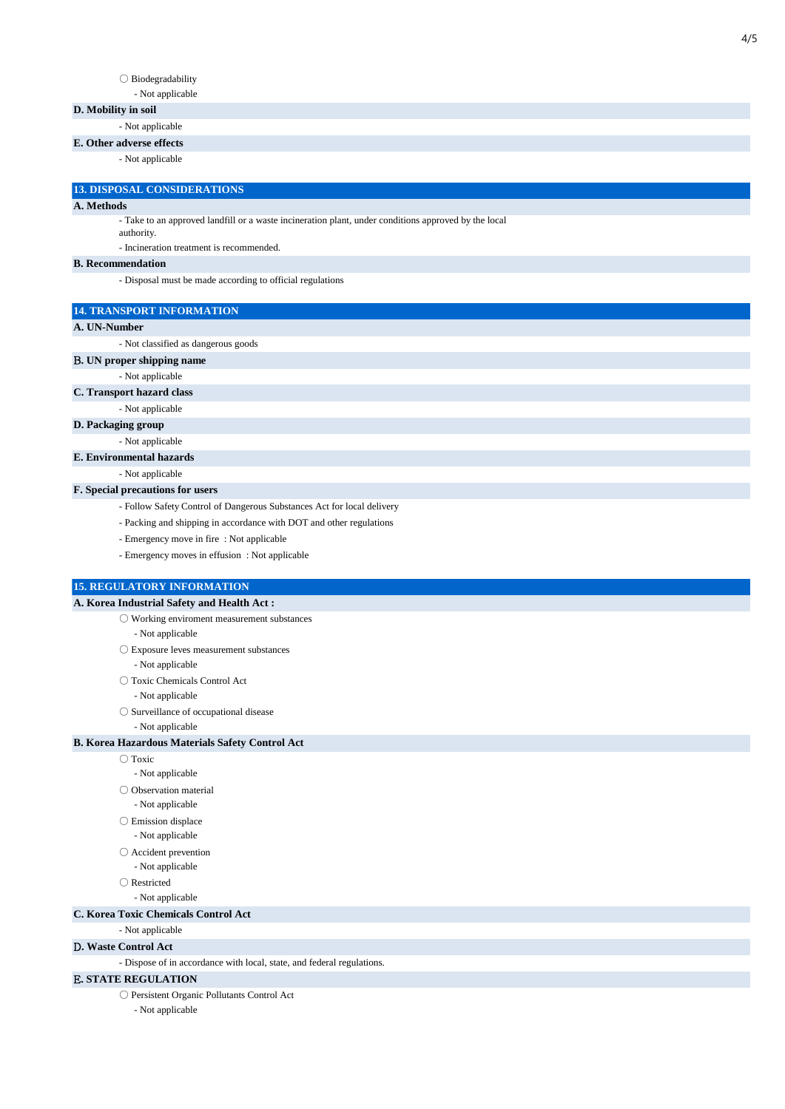#### $\bigcirc$ Biodegradability

- Not applicable

#### **D. Mobility in soil**

- Not applicable

#### **E. Other adverse effects**

- Not applicable

#### **13. DISPOSAL CONSIDERATIONS**

#### **A. Methods**

- Take to an approved landfill or a waste incineration plant, under conditions approved by the local

authority.

- Incineration treatment is recommended.

#### **B. Recommendation**

- Disposal must be made according to official regulations

#### **14. TRANSPORT INFORMATION**

#### **A. UN-Number**

- Not classified as dangerous goods

B**. UN proper shipping name**

- Not applicable

#### **C. Transport hazard class**

- Not applicable

#### **D. Packaging group**

- Not applicable

#### **E. Environmental hazards**

- Not applicable

#### **F. Special precautions for users**

- Follow Safety Control of Dangerous Substances Act for local delivery
- Packing and shipping in accordance with DOT and other regulations
- Emergency move in fire : Not applicable
- Emergency moves in effusion : Not applicable

#### **15. REGULATORY INFORMATION**

#### **A. Korea Industrial Safety and Health Act :**

- $\bigcirc$  Working enviroment measurement substances - Not applicable
- Exposure leves measurement substances
- Not applicable
- Toxic Chemicals Control Act

- Not applicable

- Surveillance of occupational disease
	- Not applicable

#### **B. Korea Hazardous Materials Safety Control Act**

- Toxic
- Not applicable
- Observation material
- Not applicable
- Emission displace
- Not applicable
- Accident prevention
- Not applicable
- Restricted
- Not applicable

#### **C. Korea Toxic Chemicals Control Act**

- Not applicable

#### D**. Waste Control Act**

- Dispose of in accordance with local, state, and federal regulations.

## E**. STATE REGULATION**

○ Persistent Organic Pollutants Control Act

- Not applicable